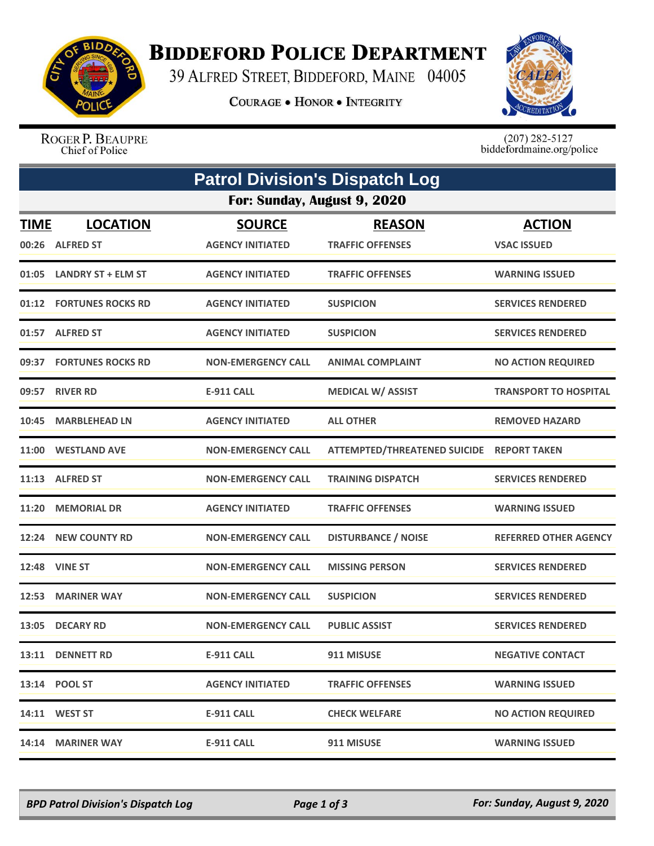

## **BIDDEFORD POLICE DEPARTMENT**

39 ALFRED STREET, BIDDEFORD, MAINE 04005

**COURAGE . HONOR . INTEGRITY** 



ROGER P. BEAUPRE Chief of Police

 $(207)$  282-5127<br>biddefordmaine.org/police

|                             | <b>Patrol Division's Dispatch Log</b> |                           |                                           |                              |  |  |  |  |
|-----------------------------|---------------------------------------|---------------------------|-------------------------------------------|------------------------------|--|--|--|--|
| For: Sunday, August 9, 2020 |                                       |                           |                                           |                              |  |  |  |  |
| <b>TIME</b>                 | <b>LOCATION</b>                       | <b>SOURCE</b>             | <b>REASON</b>                             | <b>ACTION</b>                |  |  |  |  |
| 00:26                       | <b>ALFRED ST</b>                      | <b>AGENCY INITIATED</b>   | <b>TRAFFIC OFFENSES</b>                   | <b>VSAC ISSUED</b>           |  |  |  |  |
| 01:05                       | <b>LANDRY ST + ELM ST</b>             | <b>AGENCY INITIATED</b>   | <b>TRAFFIC OFFENSES</b>                   | <b>WARNING ISSUED</b>        |  |  |  |  |
|                             | 01:12 FORTUNES ROCKS RD               | <b>AGENCY INITIATED</b>   | <b>SUSPICION</b>                          | <b>SERVICES RENDERED</b>     |  |  |  |  |
|                             | 01:57 ALFRED ST                       | <b>AGENCY INITIATED</b>   | <b>SUSPICION</b>                          | <b>SERVICES RENDERED</b>     |  |  |  |  |
| 09:37                       | <b>FORTUNES ROCKS RD</b>              | <b>NON-EMERGENCY CALL</b> | <b>ANIMAL COMPLAINT</b>                   | <b>NO ACTION REQUIRED</b>    |  |  |  |  |
| 09:57                       | <b>RIVER RD</b>                       | E-911 CALL                | <b>MEDICAL W/ ASSIST</b>                  | <b>TRANSPORT TO HOSPITAL</b> |  |  |  |  |
| 10:45                       | <b>MARBLEHEAD LN</b>                  | <b>AGENCY INITIATED</b>   | <b>ALL OTHER</b>                          | <b>REMOVED HAZARD</b>        |  |  |  |  |
| 11:00                       | <b>WESTLAND AVE</b>                   | <b>NON-EMERGENCY CALL</b> | ATTEMPTED/THREATENED SUICIDE REPORT TAKEN |                              |  |  |  |  |
| 11:13                       | <b>ALFRED ST</b>                      | <b>NON-EMERGENCY CALL</b> | <b>TRAINING DISPATCH</b>                  | <b>SERVICES RENDERED</b>     |  |  |  |  |
| 11:20                       | <b>MEMORIAL DR</b>                    | <b>AGENCY INITIATED</b>   | <b>TRAFFIC OFFENSES</b>                   | <b>WARNING ISSUED</b>        |  |  |  |  |
|                             | 12:24 NEW COUNTY RD                   | <b>NON-EMERGENCY CALL</b> | <b>DISTURBANCE / NOISE</b>                | <b>REFERRED OTHER AGENCY</b> |  |  |  |  |
| 12:48                       | <b>VINE ST</b>                        | <b>NON-EMERGENCY CALL</b> | <b>MISSING PERSON</b>                     | <b>SERVICES RENDERED</b>     |  |  |  |  |
| 12:53                       | <b>MARINER WAY</b>                    | <b>NON-EMERGENCY CALL</b> | <b>SUSPICION</b>                          | <b>SERVICES RENDERED</b>     |  |  |  |  |
|                             | 13:05 DECARY RD                       | <b>NON-EMERGENCY CALL</b> | <b>PUBLIC ASSIST</b>                      | <b>SERVICES RENDERED</b>     |  |  |  |  |
|                             | 13:11 DENNETT RD                      | <b>E-911 CALL</b>         | 911 MISUSE                                | <b>NEGATIVE CONTACT</b>      |  |  |  |  |
|                             | 13:14 POOL ST                         | <b>AGENCY INITIATED</b>   | <b>TRAFFIC OFFENSES</b>                   | <b>WARNING ISSUED</b>        |  |  |  |  |
|                             | 14:11 WEST ST                         | <b>E-911 CALL</b>         | <b>CHECK WELFARE</b>                      | <b>NO ACTION REQUIRED</b>    |  |  |  |  |
|                             | 14:14 MARINER WAY                     | <b>E-911 CALL</b>         | 911 MISUSE                                | <b>WARNING ISSUED</b>        |  |  |  |  |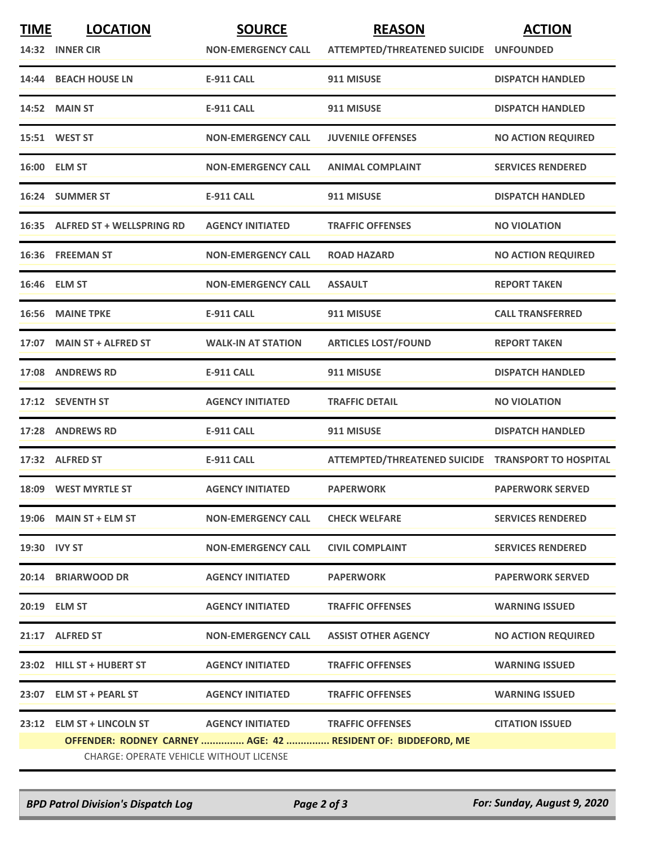| <b>TIME</b>  | <b>LOCATION</b>                                | <b>SOURCE</b>                     | <b>REASON</b>                                                | <b>ACTION</b>             |
|--------------|------------------------------------------------|-----------------------------------|--------------------------------------------------------------|---------------------------|
|              | 14:32 INNER CIR                                | <b>NON-EMERGENCY CALL</b>         | ATTEMPTED/THREATENED SUICIDE UNFOUNDED                       |                           |
|              | 14:44 BEACH HOUSE LN                           | <b>E-911 CALL</b>                 | 911 MISUSE                                                   | <b>DISPATCH HANDLED</b>   |
|              | <b>14:52 MAIN ST</b>                           | <b>E-911 CALL</b>                 | 911 MISUSE                                                   | <b>DISPATCH HANDLED</b>   |
|              | 15:51 WEST ST                                  | <b>NON-EMERGENCY CALL</b>         | <b>JUVENILE OFFENSES</b>                                     | <b>NO ACTION REQUIRED</b> |
|              | 16:00 ELM ST                                   | <b>NON-EMERGENCY CALL</b>         | <b>ANIMAL COMPLAINT</b>                                      | <b>SERVICES RENDERED</b>  |
|              | 16:24 SUMMER ST                                | <b>E-911 CALL</b>                 | 911 MISUSE                                                   | <b>DISPATCH HANDLED</b>   |
|              | 16:35 ALFRED ST + WELLSPRING RD                | <b>AGENCY INITIATED</b>           | <b>TRAFFIC OFFENSES</b>                                      | <b>NO VIOLATION</b>       |
|              | 16:36 FREEMAN ST                               | <b>NON-EMERGENCY CALL</b>         | <b>ROAD HAZARD</b>                                           | <b>NO ACTION REQUIRED</b> |
|              | 16:46 ELM ST                                   | <b>NON-EMERGENCY CALL</b>         | <b>ASSAULT</b>                                               | <b>REPORT TAKEN</b>       |
|              | 16:56 MAINE TPKE                               | <b>E-911 CALL</b>                 | 911 MISUSE                                                   | <b>CALL TRANSFERRED</b>   |
|              | 17:07 MAIN ST + ALFRED ST                      | <b>WALK-IN AT STATION</b>         | <b>ARTICLES LOST/FOUND</b>                                   | <b>REPORT TAKEN</b>       |
|              | 17:08 ANDREWS RD                               | <b>E-911 CALL</b>                 | 911 MISUSE                                                   | <b>DISPATCH HANDLED</b>   |
|              | 17:12 SEVENTH ST                               | <b>AGENCY INITIATED</b>           | <b>TRAFFIC DETAIL</b>                                        | <b>NO VIOLATION</b>       |
| 17:28        | <b>ANDREWS RD</b>                              | <b>E-911 CALL</b>                 | 911 MISUSE                                                   | <b>DISPATCH HANDLED</b>   |
|              | 17:32 ALFRED ST                                | <b>E-911 CALL</b>                 | ATTEMPTED/THREATENED SUICIDE TRANSPORT TO HOSPITAL           |                           |
|              | 18:09 WEST MYRTLE ST                           | <b>AGENCY INITIATED</b>           | <b>PAPERWORK</b>                                             | <b>PAPERWORK SERVED</b>   |
|              | $19:06$ MAIN ST + ELM ST                       | <b>NON-EMERGENCY CALL</b>         | <b>CHECK WELFARE</b>                                         | <b>SERVICES RENDERED</b>  |
| 19:30 IVY ST |                                                | <b>NON-EMERGENCY CALL</b>         | <b>CIVIL COMPLAINT</b>                                       | <b>SERVICES RENDERED</b>  |
|              | 20:14 BRIARWOOD DR                             | <b>AGENCY INITIATED</b>           | <b>PAPERWORK</b>                                             | <b>PAPERWORK SERVED</b>   |
|              | 20:19 ELM ST                                   | <b>AGENCY INITIATED</b>           | <b>TRAFFIC OFFENSES</b>                                      | <b>WARNING ISSUED</b>     |
|              | 21:17 ALFRED ST                                | <b>NON-EMERGENCY CALL</b>         | <b>ASSIST OTHER AGENCY</b>                                   | <b>NO ACTION REQUIRED</b> |
|              | 23:02 HILL ST + HUBERT ST                      | <b>AGENCY INITIATED</b>           | <b>TRAFFIC OFFENSES</b>                                      | <b>WARNING ISSUED</b>     |
|              | 23:07 ELM ST + PEARL ST                        | <b>AGENCY INITIATED</b>           | <b>TRAFFIC OFFENSES</b>                                      | <b>WARNING ISSUED</b>     |
|              | 23:12 ELM ST + LINCOLN ST                      | AGENCY INITIATED TRAFFIC OFFENSES |                                                              | <b>CITATION ISSUED</b>    |
|              |                                                |                                   | OFFENDER: RODNEY CARNEY  AGE: 42  RESIDENT OF: BIDDEFORD, ME |                           |
|              | <b>CHARGE: OPERATE VEHICLE WITHOUT LICENSE</b> |                                   |                                                              |                           |

*BPD Patrol Division's Dispatch Log Page 2 of 3 For: Sunday, August 9, 2020*